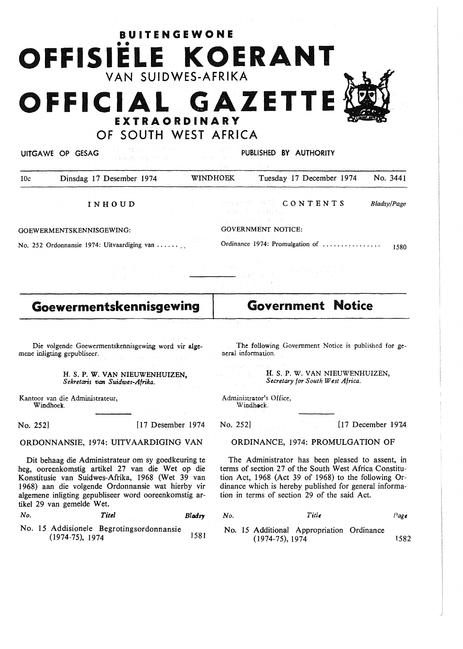# •• **OFFISIELE KOERANT**  VAN SUIDWES-AFRIKA FFICIAL GAZET **EXTRAORDINARY** OF SOUTH WEST AFRICA

**BUITENGEWONE** 



GOEWERMENTSKENNISGEWING:

GOVERNMENT NOTICE:

an yan

Ordinance 1974: Promulgation of ............... . 1580

**Goewermentskennisgewing** 

No. 252 Ordonnansie 1974: Uitvaardiging van .......

Die volgende Goewermentskennisgewing word vir **algc**mene inligting gepubliseer.

> H. S. P. W. VAN NIEUWENHUIZEN, *Sekretaris van Suidwes-Afrika.*

Kantoor van die Administrateur, Windhoek.

No. 252] [17 Desember 1974

ORDONNANSIE, 1974: UITVAARDIGING VAN

Dit behaag die Administrateur om sy goedkeuring te heg, ooreenkomstig artikel 27 van die Wet op die Konstitusie van Suidwes-Afrika, 1968 (Wet 39 van 1968) aan die volgende Ordonnansie wat hierby vir algemene inligting gepubliseer word ooreenkomstig artikel 29 van gemelde Wet.

| No. | Titel | Bladsy |
|-----|-------|--------|
|     |       |        |

No. 15 Addisionele Begrotingsordonnansie (1974-75), 1974 158

The following Government Notice is published for general information.

**H. S. P. W. VAN NIEUWENHUIZEN,** *Secretary for South West Africa.* 

Administrator's Office, Windhoek.

No. 252] [17 December 1974]

### ORDINANCE, 1974: PROMULGATION OF

The Administrator has been pleased to assent, in terms of section 27 of the South West Africa Constitution Act, 1968 (Act 39 of 1968) to the following Ordinance which is hereby published for general information in terms of section 29 of the said Act.

| $y$ No. | Title                                                          | Page |
|---------|----------------------------------------------------------------|------|
|         | No. 15 Additional Appropriation Ordinance<br>$(1974-75), 1974$ | 1582 |

**Government Notice** 

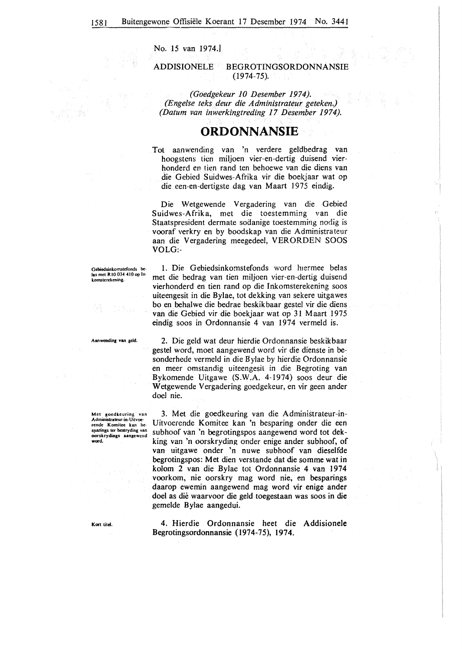No. 15 van 1974.]

### ADDISIONELE BEGROTINGSORDONNANSIE (1974-75).

*(Goedgekeur 10 Desember 1974). (Engelse teks deur die Administrateur geteken.) (Datum van inwerkingtreding 17 Desember 1974).* 

# **ORDONNANSIE**

Tot aanwending van 'n verdere geldbedrag van hoogstens lien miljoen vier-en-dertig duisend vierhonderd en tien rand ten behoewe van die diens van die Gebicd Suidwes-Afrika vir die boekjaar wat op die een-en-dertigste dag van Maart 1975 eindig.

Die Wetgewende Vergadering van die Gebied Suidwes-Afrika, met die toestemming van die Staatspresident dermate sodanige toestemming nodig is vooraf verkry en by boodskap van die Administrateur aan die Vergadering meegedeel, VERORDEN SOOS VOLG:-

1. Die Gebiedsinkomstefonds word hiermee belas met die bedrag van tien miljoen vier-en-dertig duisend vierhonderd en tien rand op die Inkomsterekening soos uiteengesit in die Bylae, tot dekking van sekere uitgawes bo en behalwe die bedrae beskikbaar gestel vir die diens van die Gebied vir die boekjaar wat op 31 Maart 1975 eindig soos in Ordonnansie 4 van 1974 vermeld is.

2. Die geld wat deur hierdie Ordonnansie beskikbaar gestel word, moet aangewend word vir die dienste in besonderhede vermeld in die Bylae by hierdie Ordonnansie en meer omstandig uiteengesil in die Begroting van Bykomende Uitgawe (S.W.A. 4-1974) soos deur die Wetgewende Vergadering goedgekeur, en vir geen ander

Gebiedsinkomstefonds belas met RIO 034 410 op lnkomstcrckcning.

Aanwcnding **van** geld.

Met goedkeuring van<br>Administrateur-in-Uitvoercndc Komitcc kan bcsparings ter bestryding van oorskrydings aangcwcud **word.** 

doel nie.

3. Met die goedkeuring van die Administrateur-in-Uitvoerende Komitee kan 'n besparing onder die een subhoof van 'n begrotingspos aangewend word tot dekking van 'n oorskryding onder enige ander subhoof, of van uitgawe onder 'n nuwe subhoof van dieselfde begrotingspos: Met dien verstande dat die somme wat in kolom 2 van die Bylae tot Ordonnansie 4 van 1974 voorkom, nie oorskry mag word nie, en besparings daarop ewemin aangewend mag word vir enige ander doe! as die waarvoor die geld toegestaan was soos in die gemelde Bylae aangedui.

4. Hierdie Ordonnansie heet die Addisionele Begrotingsordonnansie (1974-75), 1974.

**Kort** titd.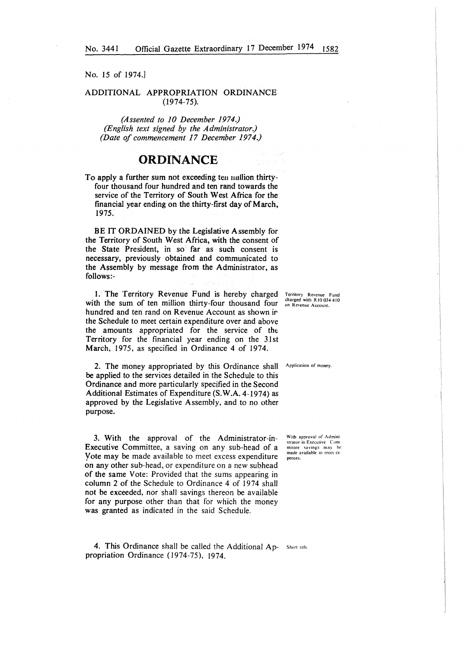No. 15 of 1974.J

### ADDITIONAL APPROPRIATION ORDINANCE (1974-75).

*(Assented to JO December 1974.) (English text signed by the Administrator.) (Date of commencement 17 December 1974.)* 

# ORDINANCE

To apply a further sum not exceeding teu uuilion thirtyfour thousand four hundred and ten rand towards the service of the Territory of South West Africa for the financial year ending on the thirty-first day of March, 1975.

BE IT ORDAINED by the Legislative Assembly for the Territory of South West Africa, with the consent of the State President, in so far as such consent is necessary, previously obtained and communicated to the Assembly by message from the Administrator, as follows:-

1. The Territory Revenue Fund is hereby charged with the sum of ten million thirty-four thousand four hundred and ten rand on Revenue Account as shown ir the Schedule to meet certain expenditure over and above the amounts appropriated for the service of tht Territory for the financial year ending on the 31st March, 1975, as specified in Ordinance 4 of 1974.

2. The money appropriated by this Ordinance shall be applied to the services detailed in the Schedule to this Ordinance and more particularly specified in the Second Additional Estimates of Expenditure **(S.W.A.** 4-1974) as approved by the Legislative Assembly, and to no other purpose.

3. With the approval of the Administrator-in-Executive Committee, a saving on any sub-head of a Yote may be made available to meet excess expenditure on any other sub-head, or expenditure on a new subhead of the same Vote: Provided that the sums appearing in column 2 of the Schedule to Ordinance 4 of 1974 shall not be exceeded, nor shall savings thereon be available for any purpose other than that for which the money was granted as indicated in the said Schedule.

4. This Ordinance shall be called the Additional Ap- Short title. propriation Ordinance (1974-75), 1974.

Territory Revenue Fund charged with R JO 034 4!0 on Revenue Account.

Application of money.

With approval of Admini strator-in-Executive Committee savings may be made availahlc to meet ex penses.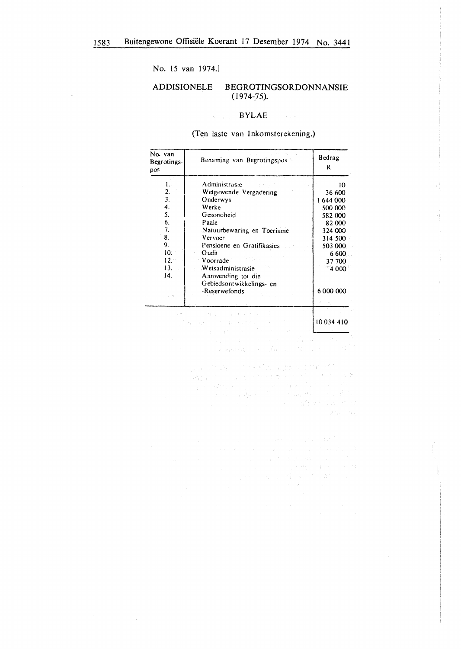No. 15 van 1974.]

 $\bar{\mathcal{A}}$ 

 $\sim$ 

 $\sim$   $\lambda$ 

#### **ADDISIONELE** BEGROTINGSORDONNANSIE  $(1974-75).$

### **BYLAE**

(Ten laste van Inkomsterekening.)

| No. van<br>Begrotings- | Benaming van Begrotingspos | Bedrag<br>R |
|------------------------|----------------------------|-------------|
| pos                    |                            |             |
| 1731<br>1.             | Administrasie              | 10          |
| 2.                     | Wetgewende Vergadering     | 36 600      |
| 3.                     | Onderwys                   | 1644000     |
| 4.                     | Werke                      | 500 000     |
| 5.                     | Gesondheid                 | 582 000     |
| 6.                     | Paaie                      | 82000       |
| 7.                     | Natuurbewaring en Toerisme | 324 000     |
| 8.                     | Vervoer                    | 314 500     |
| 9.                     | Pensioene en Gratifikasies | 503 000     |
| 10.                    | Oudit                      | 6 600       |
| 12.1                   | Voorrade                   | 37 700      |
| 13.                    | Wetsadministrasie          | 4 000       |
| 14.                    | A anwending tot die        |             |
|                        | Gebiedsont wikkelings-en   |             |
|                        | -Reserwefonds              | 6 000 000   |
|                        |                            |             |
|                        | -27<br>人名英格兰人<br>しょうきしゃ    |             |

 $\frac{1}{2}$  and the computational condition of  $\frac{10034.410}{2}$ <br> $\frac{10034.410}{2}$ 

**Contact Pay**